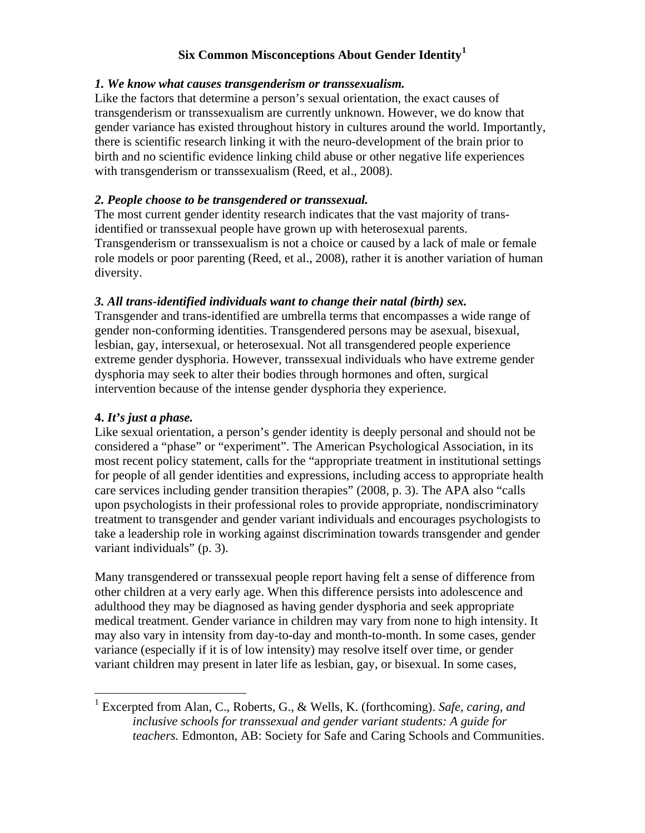# **Six Common Misconceptions About Gender Identity[1](#page-0-0)**

#### *1. We know what causes transgenderism or transsexualism.*

Like the factors that determine a person's sexual orientation, the exact causes of transgenderism or transsexualism are currently unknown. However, we do know that gender variance has existed throughout history in cultures around the world. Importantly, there is scientific research linking it with the neuro-development of the brain prior to birth and no scientific evidence linking child abuse or other negative life experiences with transgenderism or transsexualism (Reed, et al., 2008).

## *2. People choose to be transgendered or transsexual.*

The most current gender identity research indicates that the vast majority of transidentified or transsexual people have grown up with heterosexual parents. Transgenderism or transsexualism is not a choice or caused by a lack of male or female role models or poor parenting (Reed, et al., 2008), rather it is another variation of human diversity.

#### *3. All trans-identified individuals want to change their natal (birth) sex.*

Transgender and trans-identified are umbrella terms that encompasses a wide range of gender non-conforming identities. Transgendered persons may be asexual, bisexual, lesbian, gay, intersexual, or heterosexual. Not all transgendered people experience extreme gender dysphoria. However, transsexual individuals who have extreme gender dysphoria may seek to alter their bodies through hormones and often, surgical intervention because of the intense gender dysphoria they experience.

## **4.** *It's just a phase.*

Like sexual orientation, a person's gender identity is deeply personal and should not be considered a "phase" or "experiment". The American Psychological Association, in its most recent policy statement, calls for the "appropriate treatment in institutional settings for people of all gender identities and expressions, including access to appropriate health care services including gender transition therapies" (2008, p. 3). The APA also "calls upon psychologists in their professional roles to provide appropriate, nondiscriminatory treatment to transgender and gender variant individuals and encourages psychologists to take a leadership role in working against discrimination towards transgender and gender variant individuals" (p. 3).

Many transgendered or transsexual people report having felt a sense of difference from other children at a very early age. When this difference persists into adolescence and adulthood they may be diagnosed as having gender dysphoria and seek appropriate medical treatment. Gender variance in children may vary from none to high intensity. It may also vary in intensity from day-to-day and month-to-month. In some cases, gender variance (especially if it is of low intensity) may resolve itself over time, or gender variant children may present in later life as lesbian, gay, or bisexual. In some cases,

<span id="page-0-0"></span> <sup>1</sup> Excerpted from Alan, C., Roberts, G., & Wells, K. (forthcoming). *Safe, caring, and inclusive schools for transsexual and gender variant students: A guide for teachers.* Edmonton, AB: Society for Safe and Caring Schools and Communities.